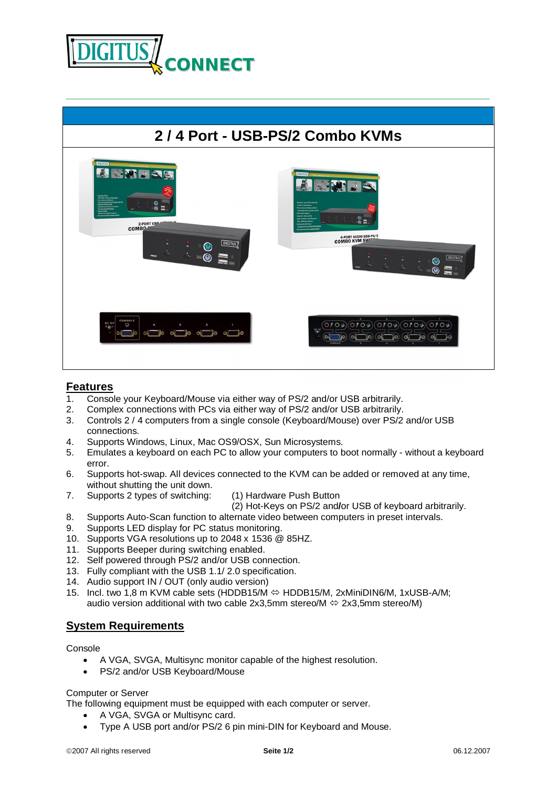



## **Features**

- 1. Console your Keyboard/Mouse via either way of PS/2 and/or USB arbitrarily.
- 2. Complex connections with PCs via either way of PS/2 and/or USB arbitrarily.
- 3. Controls 2 / 4 computers from a single console (Keyboard/Mouse) over PS/2 and/or USB connections.
- 4. Supports Windows, Linux, Mac OS9/OSX, Sun Microsystems.
- 5. Emulates a keyboard on each PC to allow your computers to boot normally without a keyboard error.
- 6. Supports hot-swap. All devices connected to the KVM can be added or removed at any time, without shutting the unit down.
- 7. Supports 2 types of switching: (1) Hardware Push Button
- - (2) Hot-Keys on PS/2 and**/**or USB of keyboard arbitrarily.
- 8. Supports Auto-Scan function to alternate video between computers in preset intervals.
- 9. Supports LED display for PC status monitoring.
- 10. Supports VGA resolutions up to 2048 x 1536 @ 85HZ.
- 11. Supports Beeper during switching enabled.
- 12. Self powered through PS/2 and/or USB connection.
- 13. Fully compliant with the USB 1.1/ 2.0 specification.
- 14. Audio support IN / OUT (only audio version)
- 15. Incl. two 1,8 m KVM cable sets (HDDB15/M ⇔ HDDB15/M, 2xMiniDIN6/M, 1xUSB-A/M; audio version additional with two cable  $2x3,5mm$  stereo/M  $\Leftrightarrow$   $2x3,5mm$  stereo/M)

## **System Requirements**

## Console

- A VGA, SVGA, Multisync monitor capable of the highest resolution.
- PS/2 and/or USB Keyboard/Mouse

## Computer or Server

The following equipment must be equipped with each computer or server.

- A VGA, SVGA or Multisync card.
- Type A USB port and/or PS/2 6 pin mini-DIN for Keyboard and Mouse.